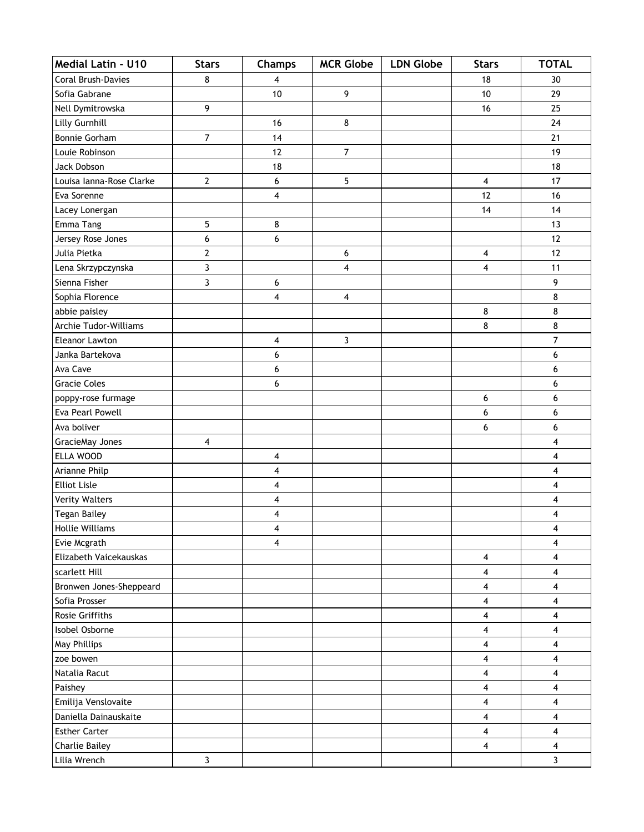| <b>Medial Latin - U10</b> | <b>Stars</b>   | Champs                  | <b>MCR Globe</b> | <b>LDN Globe</b> | <b>Stars</b>            | <b>TOTAL</b>   |
|---------------------------|----------------|-------------------------|------------------|------------------|-------------------------|----------------|
| Coral Brush-Davies        | 8              | $\overline{\mathbf{4}}$ |                  |                  | 18                      | 30             |
| Sofia Gabrane             |                | 10                      | 9                |                  | 10                      | 29             |
| Nell Dymitrowska          | 9              |                         |                  |                  | 16                      | 25             |
| Lilly Gurnhill            |                | 16                      | 8                |                  |                         | 24             |
| Bonnie Gorham             | $\overline{7}$ | 14                      |                  |                  |                         | 21             |
| Louie Robinson            |                | 12                      | $\overline{7}$   |                  |                         | 19             |
| Jack Dobson               |                | 18                      |                  |                  |                         | 18             |
| Louisa Ianna-Rose Clarke  | $\overline{2}$ | 6                       | 5                |                  | 4                       | 17             |
| Eva Sorenne               |                | 4                       |                  |                  | 12                      | 16             |
| Lacey Lonergan            |                |                         |                  |                  | 14                      | 14             |
| Emma Tang                 | 5              | 8                       |                  |                  |                         | 13             |
| Jersey Rose Jones         | 6              | 6                       |                  |                  |                         | 12             |
| Julia Pietka              | $\mathbf{2}$   |                         | 6                |                  | 4                       | 12             |
| Lena Skrzypczynska        | 3              |                         | 4                |                  | $\overline{4}$          | 11             |
| Sienna Fisher             | 3              | 6                       |                  |                  |                         | 9              |
| Sophia Florence           |                | 4                       | $\pmb{4}$        |                  |                         | 8              |
| abbie paisley             |                |                         |                  |                  | 8                       | 8              |
| Archie Tudor-Williams     |                |                         |                  |                  | 8                       | 8              |
| Eleanor Lawton            |                | 4                       | $\mathbf{3}$     |                  |                         | $\overline{7}$ |
| Janka Bartekova           |                | 6                       |                  |                  |                         | 6              |
| Ava Cave                  |                | 6                       |                  |                  |                         | 6              |
| <b>Gracie Coles</b>       |                | 6                       |                  |                  |                         | 6              |
| poppy-rose furmage        |                |                         |                  |                  | 6                       | 6              |
| Eva Pearl Powell          |                |                         |                  |                  | 6                       | 6              |
| Ava boliver               |                |                         |                  |                  | 6                       | 6              |
| GracieMay Jones           | 4              |                         |                  |                  |                         | 4              |
| ELLA WOOD                 |                | 4                       |                  |                  |                         | 4              |
| Arianne Philp             |                | 4                       |                  |                  |                         | 4              |
| <b>Elliot Lisle</b>       |                | 4                       |                  |                  |                         | 4              |
| <b>Verity Walters</b>     |                | 4                       |                  |                  |                         | 4              |
| Tegan Bailey              |                | 4                       |                  |                  |                         | 4              |
| <b>Hollie Williams</b>    |                | 4                       |                  |                  |                         | 4              |
| Evie Mcgrath              |                | 4                       |                  |                  |                         | 4              |
| Elizabeth Vaicekauskas    |                |                         |                  |                  | 4                       | 4              |
| scarlett Hill             |                |                         |                  |                  | 4                       | 4              |
| Bronwen Jones-Sheppeard   |                |                         |                  |                  | 4                       | 4              |
| Sofia Prosser             |                |                         |                  |                  | 4                       | 4              |
| Rosie Griffiths           |                |                         |                  |                  | 4                       | 4              |
| Isobel Osborne            |                |                         |                  |                  | 4                       | 4              |
| May Phillips              |                |                         |                  |                  | $\overline{\mathbf{4}}$ | 4              |
| zoe bowen                 |                |                         |                  |                  | 4                       | 4              |
| Natalia Racut             |                |                         |                  |                  | 4                       | 4              |
| Paishey                   |                |                         |                  |                  | $\overline{\mathbf{4}}$ | 4              |
| Emilija Venslovaite       |                |                         |                  |                  | 4                       | 4              |
| Daniella Dainauskaite     |                |                         |                  |                  | 4                       | 4              |
| <b>Esther Carter</b>      |                |                         |                  |                  | $\overline{\mathbf{4}}$ | 4              |
| <b>Charlie Bailey</b>     |                |                         |                  |                  | 4                       | 4              |
| Lilia Wrench              | $\mathbf{3}$   |                         |                  |                  |                         | 3              |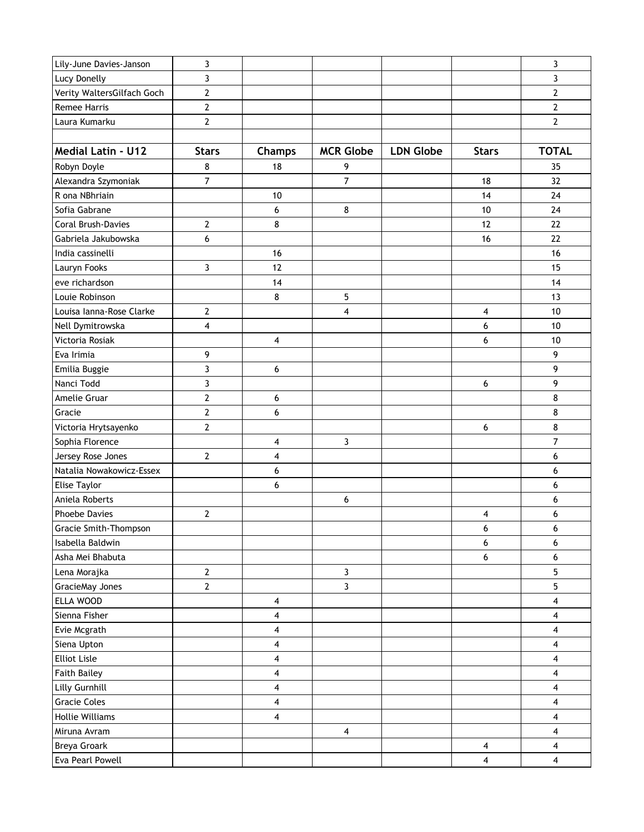| Lily-June Davies-Janson    | 3                |                         |                         |                  |                         | 3              |
|----------------------------|------------------|-------------------------|-------------------------|------------------|-------------------------|----------------|
| Lucy Donelly               | 3                |                         |                         |                  |                         | 3              |
| Verity WaltersGilfach Goch | $\overline{2}$   |                         |                         |                  |                         | $\mathbf{2}$   |
| <b>Remee Harris</b>        | $\mathbf{2}$     |                         |                         |                  |                         | $\overline{2}$ |
| Laura Kumarku              | $\overline{2}$   |                         |                         |                  |                         | $\overline{2}$ |
|                            |                  |                         |                         |                  |                         |                |
| <b>Medial Latin - U12</b>  | <b>Stars</b>     | Champs                  | <b>MCR Globe</b>        | <b>LDN Globe</b> | <b>Stars</b>            | <b>TOTAL</b>   |
| Robyn Doyle                | 8                | 18                      | 9                       |                  |                         | 35             |
| Alexandra Szymoniak        | 7                |                         | $\overline{7}$          |                  | 18                      | 32             |
| R ona NBhriain             |                  | 10                      |                         |                  | 14                      | 24             |
| Sofia Gabrane              |                  | 6                       | 8                       |                  | 10                      | 24             |
| Coral Brush-Davies         | $\overline{2}$   | 8                       |                         |                  | 12                      | 22             |
| Gabriela Jakubowska        | 6                |                         |                         |                  | 16                      | 22             |
| India cassinelli           |                  | 16                      |                         |                  |                         | 16             |
| Lauryn Fooks               | 3                | 12                      |                         |                  |                         | 15             |
| eve richardson             |                  | 14                      |                         |                  |                         | 14             |
| Louie Robinson             |                  | 8                       | 5                       |                  |                         | 13             |
| Louisa Ianna-Rose Clarke   | $\overline{2}$   |                         | 4                       |                  | 4                       | 10             |
| Nell Dymitrowska           | 4                |                         |                         |                  | 6                       | 10             |
| Victoria Rosiak            |                  | 4                       |                         |                  | 6                       | 10             |
| Eva Irimia                 | 9                |                         |                         |                  |                         | 9              |
| Emilia Buggie              | 3                | 6                       |                         |                  |                         | 9              |
| Nanci Todd                 | 3                |                         |                         |                  | 6                       | 9              |
| Amelie Gruar               | $\overline{2}$   | 6                       |                         |                  |                         | 8              |
| Gracie                     | $\overline{2}$   | 6                       |                         |                  |                         | 8              |
| Victoria Hrytsayenko       | $\mathbf{2}$     |                         |                         |                  | 6                       | 8              |
| Sophia Florence            |                  | 4                       | $\mathbf{3}$            |                  |                         | $\overline{7}$ |
| Jersey Rose Jones          | $\overline{2}$   | 4                       |                         |                  |                         | 6              |
| Natalia Nowakowicz-Essex   |                  | 6                       |                         |                  |                         | 6              |
| Elise Taylor               |                  | 6                       |                         |                  |                         | 6              |
| Aniela Roberts             |                  |                         | 6                       |                  |                         | 6              |
| <b>Phoebe Davies</b>       | $\boldsymbol{2}$ |                         |                         |                  | 4                       | 6              |
| Gracie Smith-Thompson      |                  |                         |                         |                  | 6                       | 6              |
| Isabella Baldwin           |                  |                         |                         |                  | 6                       | 6              |
| Asha Mei Bhabuta           |                  |                         |                         |                  | 6                       | 6              |
| Lena Morajka               | $\mathbf{2}$     |                         | $\mathbf{3}$            |                  |                         | 5              |
| GracieMay Jones            | $\mathbf{2}$     |                         | $\mathbf{3}$            |                  |                         | 5              |
| ELLA WOOD                  |                  | 4                       |                         |                  |                         | $\overline{4}$ |
| Sienna Fisher              |                  | 4                       |                         |                  |                         | 4              |
| Evie Mcgrath               |                  | 4                       |                         |                  |                         | 4              |
| Siena Upton                |                  | 4                       |                         |                  |                         | 4              |
| <b>Elliot Lisle</b>        |                  | 4                       |                         |                  |                         | 4              |
| <b>Faith Bailey</b>        |                  | 4                       |                         |                  |                         | 4              |
| Lilly Gurnhill             |                  | $\overline{\mathbf{4}}$ |                         |                  |                         | 4              |
| <b>Gracie Coles</b>        |                  | 4                       |                         |                  |                         | 4              |
| <b>Hollie Williams</b>     |                  | 4                       |                         |                  |                         | 4              |
| Miruna Avram               |                  |                         | $\overline{\mathbf{4}}$ |                  |                         | 4              |
| Breya Groark               |                  |                         |                         |                  | $\overline{\mathbf{4}}$ | 4              |
| Eva Pearl Powell           |                  |                         |                         |                  | $\overline{\mathbf{4}}$ | 4              |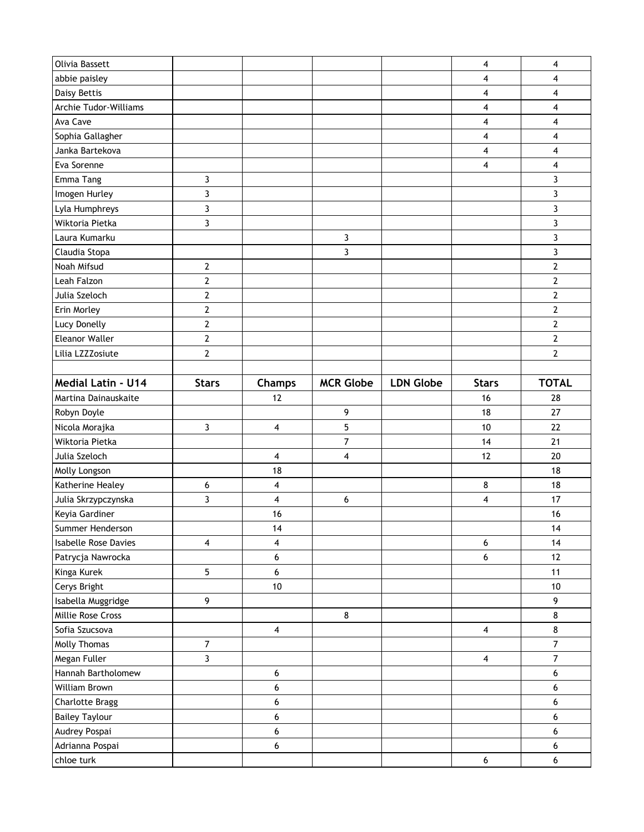| Olivia Bassett                |                 |               |                  |                  | 4                       | 4                |
|-------------------------------|-----------------|---------------|------------------|------------------|-------------------------|------------------|
| abbie paisley                 |                 |               |                  |                  | 4                       | 4                |
| Daisy Bettis                  |                 |               |                  |                  | 4                       | 4                |
| Archie Tudor-Williams         |                 |               |                  |                  | 4                       | 4                |
| Ava Cave                      |                 |               |                  |                  | 4                       | 4                |
| Sophia Gallagher              |                 |               |                  |                  | 4                       | 4                |
| Janka Bartekova               |                 |               |                  |                  | 4                       | 4                |
| Eva Sorenne                   |                 |               |                  |                  | 4                       | 4                |
| Emma Tang                     | 3               |               |                  |                  |                         | 3                |
| Imogen Hurley                 | 3               |               |                  |                  |                         | 3                |
| Lyla Humphreys                | $\overline{3}$  |               |                  |                  |                         | 3                |
| Wiktoria Pietka               | 3               |               |                  |                  |                         | 3                |
| Laura Kumarku                 |                 |               | 3                |                  |                         | 3                |
| Claudia Stopa                 |                 |               | 3                |                  |                         | 3                |
| Noah Mifsud                   | $\mathbf{2}$    |               |                  |                  |                         | $\mathbf{2}$     |
| Leah Falzon                   | $\mathbf{2}$    |               |                  |                  |                         | $\overline{2}$   |
| Julia Szeloch                 | $\mathbf{2}$    |               |                  |                  |                         | $\mathbf{2}$     |
| Erin Morley                   | $\mathbf 2$     |               |                  |                  |                         | $\overline{2}$   |
| Lucy Donelly                  | $\mathbf{2}$    |               |                  |                  |                         | $\mathbf{2}$     |
| <b>Eleanor Waller</b>         | $\mathbf 2$     |               |                  |                  |                         | $\mathbf{2}$     |
| Lilia LZZZosiute              | $\mathbf{2}$    |               |                  |                  |                         | $\overline{2}$   |
|                               |                 |               |                  |                  |                         |                  |
| Medial Latin - U14            | <b>Stars</b>    | <b>Champs</b> | <b>MCR Globe</b> | <b>LDN Globe</b> | <b>Stars</b>            | <b>TOTAL</b>     |
| Martina Dainauskaite          |                 | 12            |                  |                  | 16                      | 28               |
| Robyn Doyle                   |                 |               | 9                |                  | 18                      | 27               |
| Nicola Morajka                | 3               | 4             | 5                |                  | 10                      | 22               |
| Wiktoria Pietka               |                 |               | $\overline{7}$   |                  | 14                      | 21               |
| Julia Szeloch                 |                 | 4             | 4                |                  | 12                      | 20               |
| Molly Longson                 |                 |               |                  |                  |                         |                  |
|                               |                 | 18            |                  |                  |                         | 18               |
| Katherine Healey              | 6               | 4             |                  |                  | 8                       | 18               |
| Julia Skrzypczynska           | 3               | 4             | 6                |                  | 4                       | 17               |
| Keyia Gardiner                |                 | 16            |                  |                  |                         | 16               |
| Summer Henderson              |                 | 14            |                  |                  |                         | 14               |
| <b>Isabelle Rose Davies</b>   | 4               | 4             |                  |                  | 6                       | 14               |
| Patrycja Nawrocka             |                 | 6             |                  |                  | 6                       | 12               |
| Kinga Kurek                   | $5\phantom{.0}$ | 6             |                  |                  |                         | 11               |
| Cerys Bright                  |                 | $10\,$        |                  |                  |                         | $10$             |
| Isabella Muggridge            | 9               |               |                  |                  |                         | 9                |
| Millie Rose Cross             |                 |               | 8                |                  |                         | 8                |
| Sofia Szucsova                |                 | 4             |                  |                  | 4                       | $\bf 8$          |
| Molly Thomas                  | $\overline{7}$  |               |                  |                  |                         | $\overline{7}$   |
| Megan Fuller                  | 3               |               |                  |                  | $\overline{\mathbf{4}}$ | $\overline{7}$   |
| Hannah Bartholomew            |                 | 6             |                  |                  |                         | $\boldsymbol{6}$ |
| William Brown                 |                 | 6             |                  |                  |                         | 6                |
| <b>Charlotte Bragg</b>        |                 | 6             |                  |                  |                         | 6                |
| <b>Bailey Taylour</b>         |                 | 6             |                  |                  |                         | 6                |
| Audrey Pospai                 |                 | 6             |                  |                  |                         | 6                |
| Adrianna Pospai<br>chloe turk |                 | 6             |                  |                  | 6                       | 6<br>6           |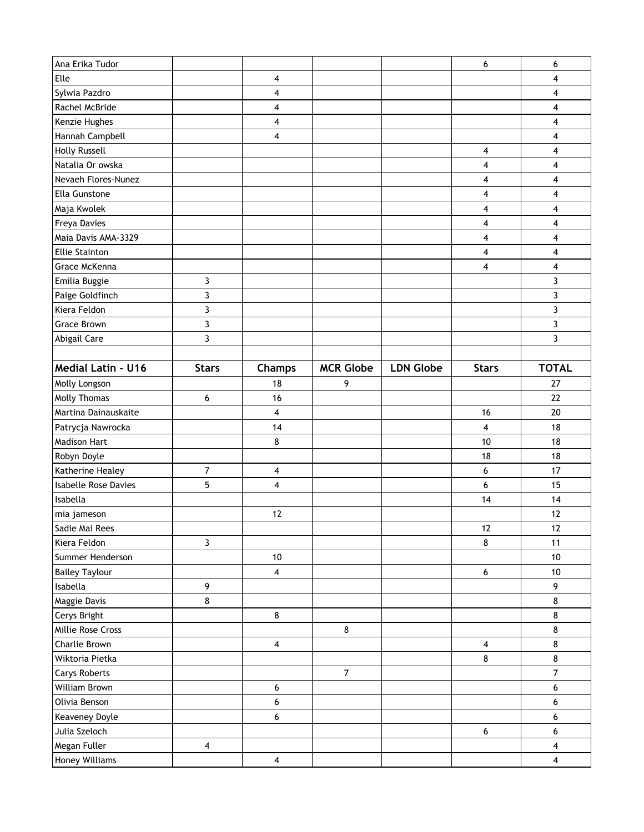| Ana Erika Tudor                |                         |                         |                  |                  | 6                       | 6              |
|--------------------------------|-------------------------|-------------------------|------------------|------------------|-------------------------|----------------|
| Elle                           |                         | 4                       |                  |                  |                         | 4              |
| Sylwia Pazdro                  |                         | 4                       |                  |                  |                         | 4              |
| Rachel McBride                 |                         | 4                       |                  |                  |                         | 4              |
| Kenzie Hughes                  |                         | 4                       |                  |                  |                         | 4              |
| Hannah Campbell                |                         | 4                       |                  |                  |                         | 4              |
| <b>Holly Russell</b>           |                         |                         |                  |                  | 4                       | 4              |
| Natalia Or owska               |                         |                         |                  |                  | 4                       | 4              |
| Nevaeh Flores-Nunez            |                         |                         |                  |                  | 4                       | 4              |
| Ella Gunstone                  |                         |                         |                  |                  | 4                       | 4              |
| Maja Kwolek                    |                         |                         |                  |                  | $\overline{\mathbf{4}}$ | 4              |
| Freya Davies                   |                         |                         |                  |                  | 4                       | 4              |
| Maia Davis AMA-3329            |                         |                         |                  |                  | 4                       | 4              |
| <b>Ellie Stainton</b>          |                         |                         |                  |                  | $\overline{4}$          | 4              |
| Grace McKenna                  |                         |                         |                  |                  | 4                       | 4              |
| Emilia Buggie                  | 3                       |                         |                  |                  |                         | 3              |
| Paige Goldfinch                | 3                       |                         |                  |                  |                         | 3              |
| Kiera Feldon                   | 3                       |                         |                  |                  |                         | 3              |
| <b>Grace Brown</b>             | 3                       |                         |                  |                  |                         | 3              |
| Abigail Care                   | 3                       |                         |                  |                  |                         | 3              |
|                                |                         |                         |                  |                  |                         |                |
| Medial Latin - U16             | <b>Stars</b>            | Champs                  | <b>MCR Globe</b> | <b>LDN Globe</b> | <b>Stars</b>            | <b>TOTAL</b>   |
| Molly Longson                  |                         | 18                      | 9                |                  |                         | 27             |
| Molly Thomas                   | 6                       | 16                      |                  |                  |                         | 22             |
| Martina Dainauskaite           |                         | 4                       |                  |                  | 16                      | 20             |
| Patrycja Nawrocka              |                         | 14                      |                  |                  | 4                       | 18             |
| <b>Madison Hart</b>            |                         | 8                       |                  |                  | 10                      | 18             |
| Robyn Doyle                    |                         |                         |                  |                  | 18                      | 18             |
| Katherine Healey               | 7                       | 4                       |                  |                  | 6                       | 17             |
| <b>Isabelle Rose Davies</b>    | 5                       | 4                       |                  |                  | 6                       | 15             |
| Isabella                       |                         |                         |                  |                  | 14                      | 14             |
| mia jameson                    |                         | 12                      |                  |                  |                         | 12             |
| Sadie Mai Rees                 |                         |                         |                  |                  | 12                      | $12$           |
| Kiera Feldon                   | $\mathbf{3}$            |                         |                  |                  | 8                       | 11             |
| Summer Henderson               |                         | 10                      |                  |                  |                         | 10             |
| <b>Bailey Taylour</b>          |                         | 4                       |                  |                  | $6\,$                   | $10\,$         |
| Isabella                       | 9                       |                         |                  |                  |                         | 9              |
| Maggie Davis                   | 8                       |                         |                  |                  |                         | 8              |
| Cerys Bright                   |                         | 8                       |                  |                  |                         | 8              |
| Millie Rose Cross              |                         |                         | $\bf 8$          |                  |                         | $\bf 8$        |
| Charlie Brown                  |                         | $\overline{\mathbf{4}}$ |                  |                  | $\overline{\mathbf{4}}$ | 8              |
| Wiktoria Pietka                |                         |                         |                  |                  | 8                       | 8              |
| <b>Carys Roberts</b>           |                         |                         | $\overline{7}$   |                  |                         | $\overline{7}$ |
| William Brown                  |                         | 6                       |                  |                  |                         | 6              |
| Olivia Benson                  |                         | 6                       |                  |                  |                         | 6              |
| Keaveney Doyle                 |                         | 6                       |                  |                  |                         | 6              |
| Julia Szeloch                  |                         |                         |                  |                  |                         |                |
|                                |                         |                         |                  |                  | $\boldsymbol{6}$        | 6              |
| Megan Fuller<br>Honey Williams | $\overline{\mathbf{4}}$ |                         |                  |                  |                         | 4              |